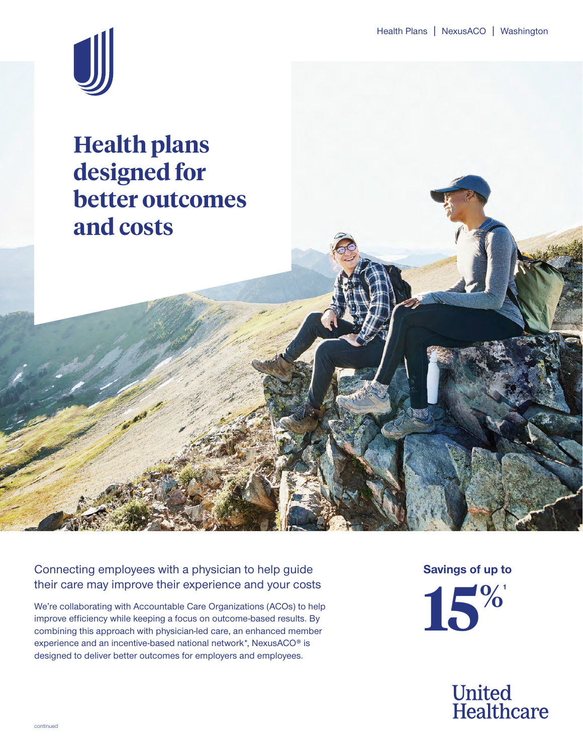

# **Health plans designed for better outcomes and costs**

Connecting employees with a physician to help guide their care may improve their experience and your costs

We're collaborating with Accountable Care Organizations (ACOs) to help improve efficiency while keeping a focus on outcome-based results. By combining this approach with physician-led care, an enhanced member experience and an incentive-based national network\*, NexusACO® is designed to deliver better outcomes for employers and employees.

**Savings of up to**



**United<br>Healthcare**